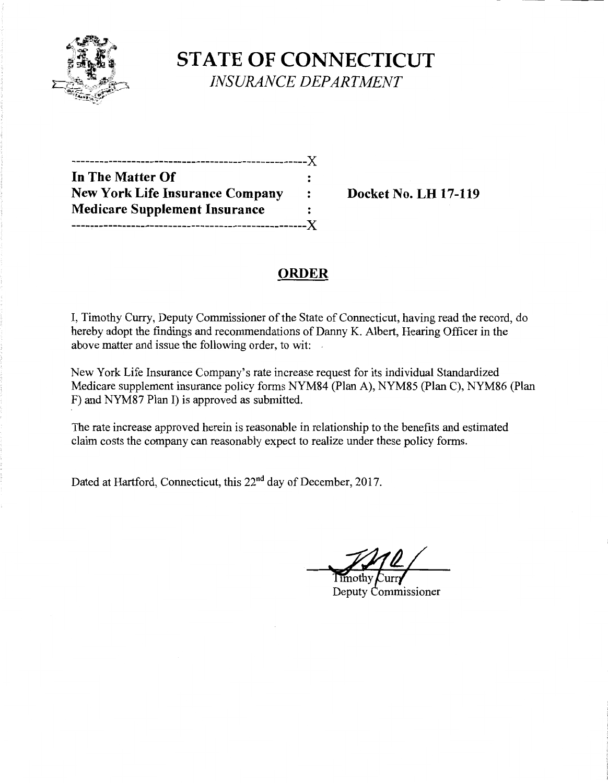

**STATE OF CONNECTICUT**  *INSURANCE DEPARTMENT* 

| -----------------------------          |                      |
|----------------------------------------|----------------------|
| In The Matter Of                       |                      |
| <b>New York Life Insurance Company</b> | $\ddot{\phantom{a}}$ |
| <b>Medicare Supplement Insurance</b>   |                      |
|                                        |                      |

**Docket No. LH 17-119** 

# **ORDER**

I, Timothy Curry, Deputy Commissioner of the State of Connecticut, having read the record, do hereby adopt the findings and recommendations of Danny K. Albert, Hearing Officer in the above matter and issue the following order, to wit:

New York Life Insurance Company's rate increase request for its individual Standardized Medicare supplement insurance policy forms NYM84 (Plan A), NYM85 (Plan C), NYM86 (Plan F) and NYM87 Plan I) is approved as submitted.

The rate increase approved herein is reasonable in relationship to the benefits and estimated claim costs the company can reasonably expect to realize under these policy forms.

Dated at Hartford, Connecticut, this 22<sup>nd</sup> day of December, 2017.

Timothy

Deputy Commissioner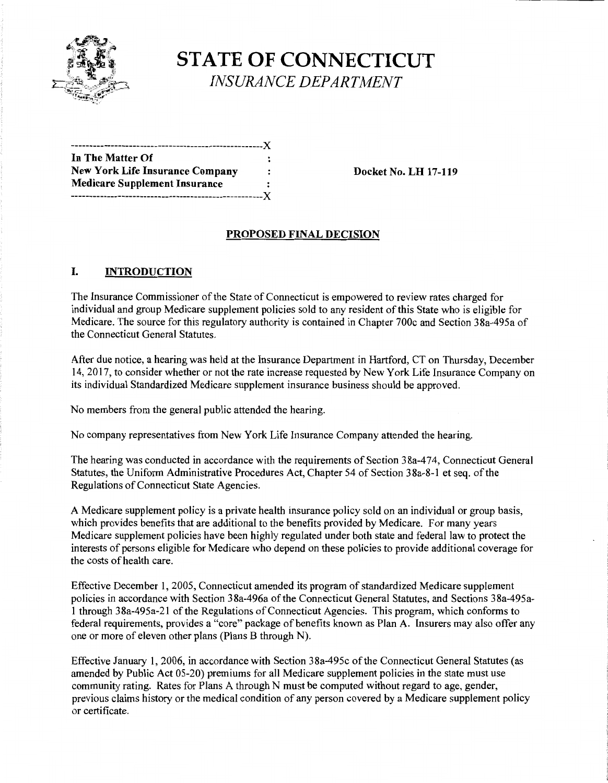

**STATE OF CONNECTICUT**  *INSURANCE DEPARTMENT* 

| In The Matter Of                       |                      |
|----------------------------------------|----------------------|
| <b>New York Life Insurance Company</b> |                      |
| <b>Medicare Supplement Insurance</b>   | $\ddot{\phantom{a}}$ |
|                                        |                      |

**Docket No. LH 17-119** 

## **PROPOSED FINAL DECISION**

## I. **INTRODUCTION**

The Insurance Commissioner ofthe State of Connecticut is empowered to review rates charged for individual and group Medicare supplement policies sold to any resident of this State who is eligible for Medicare. The source for this regulatory authority is contained in Chapter 700c and Section 38a-495a of the Connecticut General Statutes.

After due notice, a hearing was held at the Insurance Department in Hartford, CT on Thursday, December 14, 2017, to consider whether or not the rate increase requested by New York Life Insurance Company on its individual Standardized Medicare supplement insurance business should be approved.

No members from the general public attended the hearing.

No company representatives from New York Life Insurance Company attended the hearing.

The hearing was conducted in accordance with the requirements of Section 38a-474, Connecticut General Statutes, the Uniform Administrative Procedures Act, Chapter 54 of Section 38a-8-1 et seq. of the Regulations of Connecticut State Agencies.

A Medicare supplement policy is a private health insurance policy sold on an individual or group basis, which provides benefits that are additional to the benefits provided by Medicare. For many years Medicare supplement policies have been highly regulated under both state and federal law to protect the interests of persons eligible for Medicare who depend on these policies to provide additional coverage for the costs of health care.

Effective December 1, 2005, Connecticut amended its program of standardized Medicare supplement policies in accordance with Section 38a-496a of the Connecticut General Statutes, and Sections 38a-495a-1 through 38a-495a-21 of the Regulations ofConnecticut Agencies. This program, which conforms to federal requirements, provides a "core" package of benefits known as Plan A. Insurers may also offer any one or more of eleven other plans (Plans B through N).

Effective January 1, 2006, in accordance with Section 38a-495c of the Connecticut General Statutes (as amended by Public Act 05-20) premiums for all Medicare supplement policies in the state must use community rating. Rates for Plans A through N must be computed without regard to age, gender, previous claims history or the medical condition of any person covered by a Medicare supplement policy or certificate.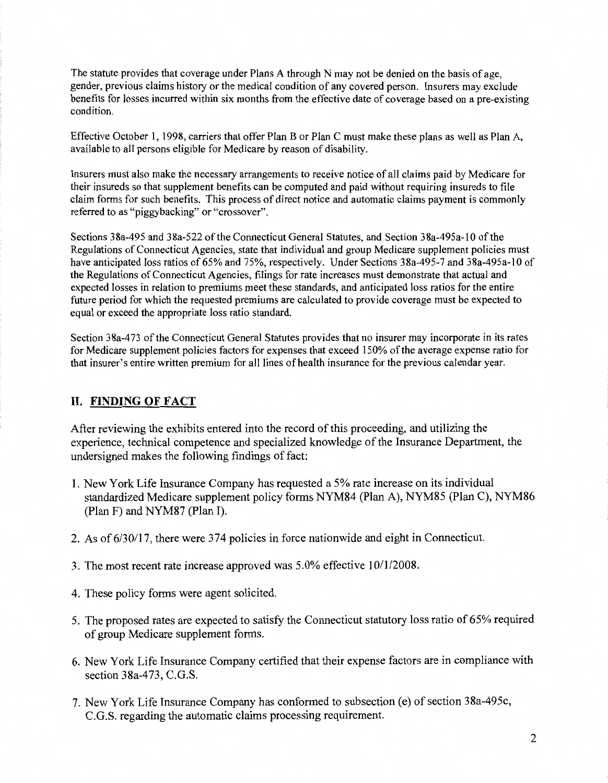The statute provides that coverage under Plans A through N may not be denied on the basis of age, gender, previous claims history or the medical condition of any covered person. Insurers may exclude benefits for losses incurred within six months from the effective date of coverage based on a pre-existing condition.

Effective October 1, 1998, carriers that offer Plan B or Plan C must make these plans as well as Plan A, available to all persons eligible for Medicare by reason of disability.

Insurers must also make the necessary arrangements to receive notice of all claims paid by Medicare for their insureds so that supplement benefits can be computed and paid without requiring insureds to file claim forms for such benefits. This process of direct notice and automatic claims payment is commonly referred to as "piggybacking" or "crossover".

Sections 38a-495 and 38a-522 of the Connecticut General Statutes, and Section 38a-495a-10 of the Regulations of Connecticut Agencies, state that individual and group Medicare supplement policies must have anticipated loss ratios of 65% and 75%, respectively. Under Sections 38a-495-7 and 38a-495a-10 of the Regulations of Connecticut Agencies, filings for rate increases must demonstrate that actual and expected losses in relation to premiums meet these standards, and anticipated loss ratios for the entire future period for which the requested premiums are calculated to provide coverage must be expected to equal or exceed the appropriate loss ratio standard.

Section 38a-473 of the Connecticut General Statutes provides that no insurer may incorporate in its rates for Medicare supplement policies factors for expenses that exceed 150% of the average expense ratio for that insurer's entire written premium for all lines of health insurance for the previous calendar year.

## **II. FINDING OF FACT**

After reviewing the exhibits entered into the record of this proceeding, and utilizing the experience, technical competence and specialized knowledge of the Insurance Department, the undersigned makes the following findings of fact:

- 1. New York Life Insurance Company has requested a 5% rate increase on its individual standardized Medicare supplement policy forms NYM84 (Plan A), NYM85 (Plan C), NYM86 (Plan F) and NYM87 (Plan I).
- 2. As of 6/30/17, there were 374 policies in force nationwide and eight in Connecticut.
- 3. The most recent rate increase approved was 5.0% effective 10/1/2008.
- 4. These policy forms were agent solicited.
- 5. The proposed rates are expected to satisfy the Connecticut statutory loss ratio of 65% required of group Medicare supplement forms.
- 6. New York Life Insurance Company certified that their expense factors are in compliance with section 38a-473, C.G.S.
- 7. New York Life Insurance Company has conformed to subsection (e) of section 38a-495c, C.G.S. regarding the automatic claims processing requirement.